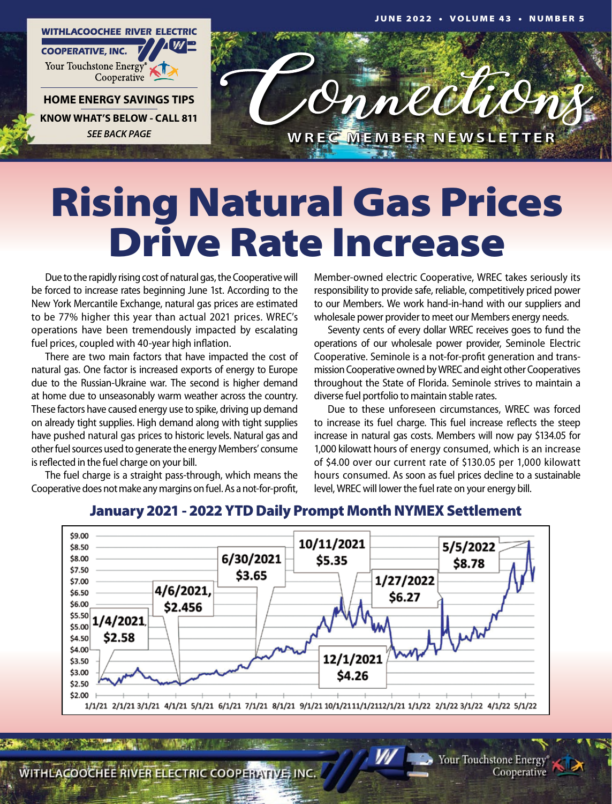

## Rising Natural Gas Prices Drive Rate Increase

Due to the rapidly rising cost of natural gas, the Cooperative will be forced to increase rates beginning June 1st. According to the New York Mercantile Exchange, natural gas prices are estimated to be 77% higher this year than actual 2021 prices. WREC's operations have been tremendously impacted by escalating fuel prices, coupled with 40-year high inflation.

There are two main factors that have impacted the cost of natural gas. One factor is increased exports of energy to Europe due to the Russian-Ukraine war. The second is higher demand at home due to unseasonably warm weather across the country. These factors have caused energy use to spike, driving up demand on already tight supplies. High demand along with tight supplies have pushed natural gas prices to historic levels. Natural gas and other fuel sources used to generate the energy Members' consume is reflected in the fuel charge on your bill.

The fuel charge is a straight pass-through, which means the Cooperative does not make any margins on fuel. As a not-for-profit,

Member-owned electric Cooperative, WREC takes seriously its responsibility to provide safe, reliable, competitively priced power to our Members. We work hand-in-hand with our suppliers and wholesale power provider to meet our Members energy needs.

Seventy cents of every dollar WREC receives goes to fund the operations of our wholesale power provider, Seminole Electric Cooperative. Seminole is a not-for-profit generation and transmission Cooperative owned by WREC and eight other Cooperatives throughout the State of Florida. Seminole strives to maintain a diverse fuel portfolio to maintain stable rates.

Due to these unforeseen circumstances, WREC was forced to increase its fuel charge. This fuel increase reflects the steep increase in natural gas costs. Members will now pay \$134.05 for 1,000 kilowatt hours of energy consumed, which is an increase of \$4.00 over our current rate of \$130.05 per 1,000 kilowatt hours consumed. As soon as fuel prices decline to a sustainable level, WREC will lower the fuel rate on your energy bill.



## January 2021 - 2022 YTD Daily Prompt Month NYMEX Settlement

WITHLACOOCHEE RIVER ELECTRIC COOPERATIVE, INC.

Your Touchstone Energy Cooperative